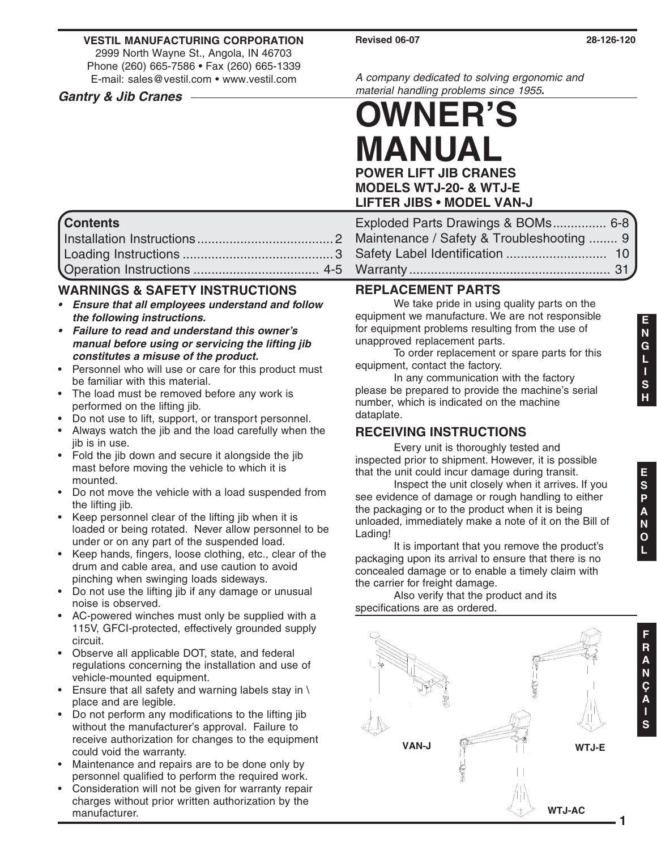#### **VESTIL MANUFACTURING CORPORATION**

2999 North Wayne St., Angola, IN 46703 Phone (260) 665-7586 • Fax (260) 665-1339 E-mail: sales@vestil.com • www.vestil.com

#### **Gantry & Jib Cranes**

A company dedicated to solving ergonomic and material handling problems since 1955**.**

# **POWER LIFT JIB CRANES MODELS WTJ-20- & WTJ-E LIFTER JIBS • MODEL VAN-J OWNER'S MANUAL**

| Exploded Parts Drawings & BOMs 6-8        |  |
|-------------------------------------------|--|
| Maintenance / Safety & Troubleshooting  9 |  |
|                                           |  |
|                                           |  |

# **Contents**

### **WARNINGS & SAFETY INSTRUCTIONS**

- **• Ensure that all employees understand and follow the following instructions.**
- **• Failure to read and understand this owner's manual before using or servicing the lifting jib constitutes a misuse of the product.**
- Personnel who will use or care for this product must be familiar with this material.
- The load must be removed before any work is performed on the lifting jib.
- Do not use to lift, support, or transport personnel.
- Always watch the jib and the load carefully when the jib is in use.
- Fold the jib down and secure it alongside the jib mast before moving the vehicle to which it is mounted.
- Do not move the vehicle with a load suspended from the lifting jib.
- Keep personnel clear of the lifting jib when it is loaded or being rotated. Never allow personnel to be under or on any part of the suspended load.
- Keep hands, fingers, loose clothing, etc., clear of the drum and cable area, and use caution to avoid pinching when swinging loads sideways.
- Do not use the lifting jib if any damage or unusual noise is observed.
- AC-powered winches must only be supplied with a 115V, GFCI-protected, effectively grounded supply circuit.
- Observe all applicable DOT, state, and federal regulations concerning the installation and use of vehicle-mounted equipment.
- Ensure that all safety and warning labels stay in \ place and are legible.
- Do not perform any modifications to the lifting jib without the manufacturer's approval. Failure to receive authorization for changes to the equipment could void the warranty.
- Maintenance and repairs are to be done only by personnel qualified to perform the required work.
- Consideration will not be given for warranty repair charges without prior written authorization by the manufacturer.

# **REPLACEMENT PARTS**

We take pride in using quality parts on the equipment we manufacture. We are not responsible for equipment problems resulting from the use of unapproved replacement parts.

To order replacement or spare parts for this equipment, contact the factory.

In any communication with the factory please be prepared to provide the machine's serial number, which is indicated on the machine dataplate.

# **RECEIVING INSTRUCTIONS**

Every unit is thoroughly tested and inspected prior to shipment. However, it is possible that the unit could incur damage during transit.

Inspect the unit closely when it arrives. If you see evidence of damage or rough handling to either the packaging or to the product when it is being unloaded, immediately make a note of it on the Bill of Lading!

It is important that you remove the product's packaging upon its arrival to ensure that there is no concealed damage or to enable a timely claim with the carrier for freight damage.

Also verify that the product and its specifications are as ordered.

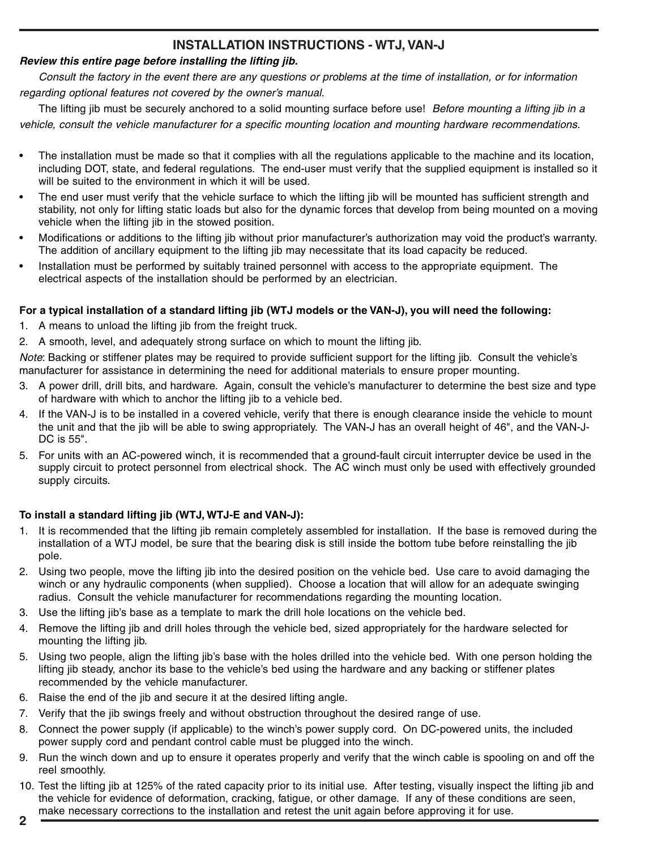## **INSTALLATION INSTRUCTIONS - WTJ, VAN-J**

#### **Review this entire page before installing the lifting jib.**

Consult the factory in the event there are any questions or problems at the time of installation, or for information regarding optional features not covered by the owner's manual.

The lifting jib must be securely anchored to a solid mounting surface before use! Before mounting a lifting jib in a vehicle, consult the vehicle manufacturer for a specific mounting location and mounting hardware recommendations.

- The installation must be made so that it complies with all the regulations applicable to the machine and its location, including DOT, state, and federal regulations. The end-user must verify that the supplied equipment is installed so it will be suited to the environment in which it will be used.
- The end user must verify that the vehicle surface to which the lifting jib will be mounted has sufficient strength and stability, not only for lifting static loads but also for the dynamic forces that develop from being mounted on a moving vehicle when the lifting jib in the stowed position.
- Modifications or additions to the lifting jib without prior manufacturer's authorization may void the product's warranty. The addition of ancillary equipment to the lifting jib may necessitate that its load capacity be reduced.
- Installation must be performed by suitably trained personnel with access to the appropriate equipment. The electrical aspects of the installation should be performed by an electrician.

#### **For a typical installation of a standard lifting jib (WTJ models or the VAN-J), you will need the following:**

- 1. A means to unload the lifting jib from the freight truck.
- 2. A smooth, level, and adequately strong surface on which to mount the lifting jib.

Note: Backing or stiffener plates may be required to provide sufficient support for the lifting jib. Consult the vehicle's manufacturer for assistance in determining the need for additional materials to ensure proper mounting.

- 3. A power drill, drill bits, and hardware. Again, consult the vehicle's manufacturer to determine the best size and type of hardware with which to anchor the lifting jib to a vehicle bed.
- 4. If the VAN-J is to be installed in a covered vehicle, verify that there is enough clearance inside the vehicle to mount the unit and that the jib will be able to swing appropriately. The VAN-J has an overall height of 46", and the VAN-J-DC is 55".
- 5. For units with an AC-powered winch, it is recommended that a ground-fault circuit interrupter device be used in the supply circuit to protect personnel from electrical shock. The AC winch must only be used with effectively grounded supply circuits.

#### **To install a standard lifting jib (WTJ, WTJ-E and VAN-J):**

- 1. It is recommended that the lifting jib remain completely assembled for installation. If the base is removed during the installation of a WTJ model, be sure that the bearing disk is still inside the bottom tube before reinstalling the jib pole.
- 2. Using two people, move the lifting jib into the desired position on the vehicle bed. Use care to avoid damaging the winch or any hydraulic components (when supplied). Choose a location that will allow for an adequate swinging radius. Consult the vehicle manufacturer for recommendations regarding the mounting location.
- 3. Use the lifting jib's base as a template to mark the drill hole locations on the vehicle bed.
- 4. Remove the lifting jib and drill holes through the vehicle bed, sized appropriately for the hardware selected for mounting the lifting jib.
- 5. Using two people, align the lifting jib's base with the holes drilled into the vehicle bed. With one person holding the lifting jib steady, anchor its base to the vehicle's bed using the hardware and any backing or stiffener plates recommended by the vehicle manufacturer.
- 6. Raise the end of the jib and secure it at the desired lifting angle.
- 7. Verify that the jib swings freely and without obstruction throughout the desired range of use.
- 8. Connect the power supply (if applicable) to the winch's power supply cord. On DC-powered units, the included power supply cord and pendant control cable must be plugged into the winch.
- 9. Run the winch down and up to ensure it operates properly and verify that the winch cable is spooling on and off the reel smoothly.
- 10. Test the lifting jib at 125% of the rated capacity prior to its initial use. After testing, visually inspect the lifting jib and the vehicle for evidence of deformation, cracking, fatigue, or other damage. If any of these conditions are seen, make necessary corrections to the installation and retest the unit again before approving it for use.
- **2**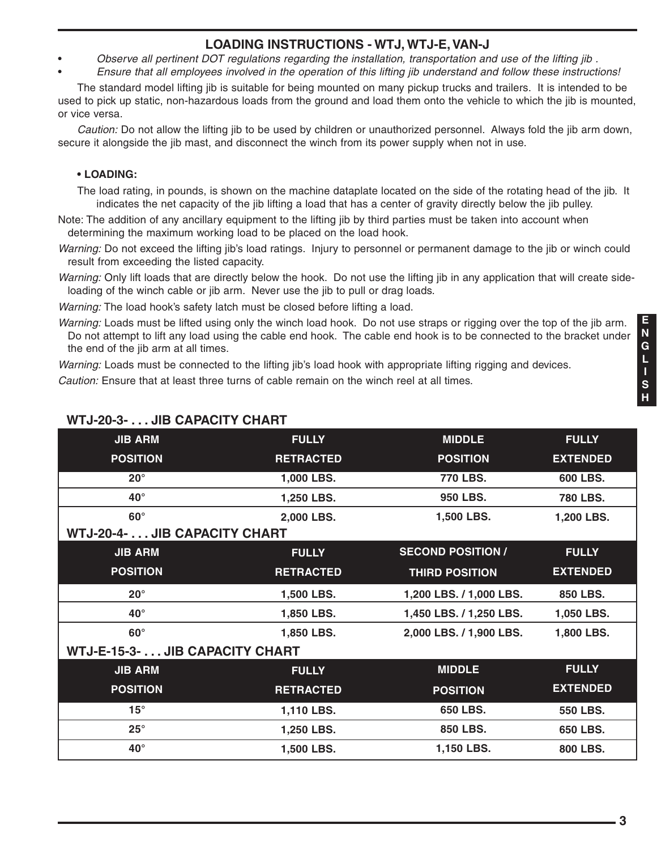### **LOADING INSTRUCTIONS - WTJ, WTJ-E, VAN-J**

- Observe all pertinent DOT regulations regarding the installation, transportation and use of the lifting jib .
- Ensure that all employees involved in the operation of this lifting jib understand and follow these instructions!

The standard model lifting jib is suitable for being mounted on many pickup trucks and trailers. It is intended to be used to pick up static, non-hazardous loads from the ground and load them onto the vehicle to which the jib is mounted, or vice versa.

Caution: Do not allow the lifting jib to be used by children or unauthorized personnel. Always fold the jib arm down, secure it alongside the jib mast, and disconnect the winch from its power supply when not in use.

#### **• LOADING:**

The load rating, in pounds, is shown on the machine dataplate located on the side of the rotating head of the jib. It indicates the net capacity of the jib lifting a load that has a center of gravity directly below the jib pulley.

- Note: The addition of any ancillary equipment to the lifting jib by third parties must be taken into account when determining the maximum working load to be placed on the load hook.
- Warning: Do not exceed the lifting jib's load ratings. Injury to personnel or permanent damage to the jib or winch could result from exceeding the listed capacity.
- Warning: Only lift loads that are directly below the hook. Do not use the lifting jib in any application that will create sideloading of the winch cable or jib arm. Never use the jib to pull or drag loads.

Warning: The load hook's safety latch must be closed before lifting a load.

Warning: Loads must be lifted using only the winch load hook. Do not use straps or rigging over the top of the jib arm. Do not attempt to lift any load using the cable end hook. The cable end hook is to be connected to the bracket under the end of the jib arm at all times.

Warning: Loads must be connected to the lifting jib's load hook with appropriate lifting rigging and devices.

Caution: Ensure that at least three turns of cable remain on the winch reel at all times.

| <b>JIB ARM</b>                 | <b>FULLY</b>     | <b>MIDDLE</b>            | <b>FULLY</b>    |
|--------------------------------|------------------|--------------------------|-----------------|
| <b>POSITION</b>                | <b>RETRACTED</b> | <b>POSITION</b>          | <b>EXTENDED</b> |
| $20^{\circ}$                   | 1,000 LBS.       | 770 LBS.                 | 600 LBS.        |
| $40^{\circ}$                   | 1,250 LBS.       | 950 LBS.                 | 780 LBS.        |
| $60^\circ$                     | 2,000 LBS.       | 1,500 LBS.               | 1,200 LBS.      |
| WTJ-20-4- JIB CAPACITY CHART   |                  |                          |                 |
| <b>JIB ARM</b>                 | <b>FULLY</b>     | <b>SECOND POSITION /</b> | <b>FULLY</b>    |
| <b>POSITION</b>                | <b>RETRACTED</b> | <b>THIRD POSITION</b>    | <b>EXTENDED</b> |
| $20^{\circ}$                   | 1,500 LBS.       | 1,200 LBS. / 1,000 LBS.  | 850 LBS.        |
| $40^{\circ}$                   | 1,850 LBS.       | 1,450 LBS. / 1,250 LBS.  | 1,050 LBS.      |
| $60^\circ$                     | 1,850 LBS.       | 2,000 LBS. / 1,900 LBS.  | 1,800 LBS.      |
| WTJ-E-15-3- JIB CAPACITY CHART |                  |                          |                 |
| <b>JIB ARM</b>                 | <b>FULLY</b>     | <b>MIDDLE</b>            | <b>FULLY</b>    |
| <b>POSITION</b>                | <b>RETRACTED</b> | <b>POSITION</b>          | <b>EXTENDED</b> |
| $15^\circ$                     | 1,110 LBS.       | 650 LBS.                 | 550 LBS.        |
| $25^{\circ}$                   | 1,250 LBS.       | 850 LBS.                 | 650 LBS.        |
| $40^{\circ}$                   | 1,500 LBS.       | 1,150 LBS.               | 800 LBS.        |

# **WTJ-20-3- . . . JIB CAPACITY CHART**

**E N G L I S H**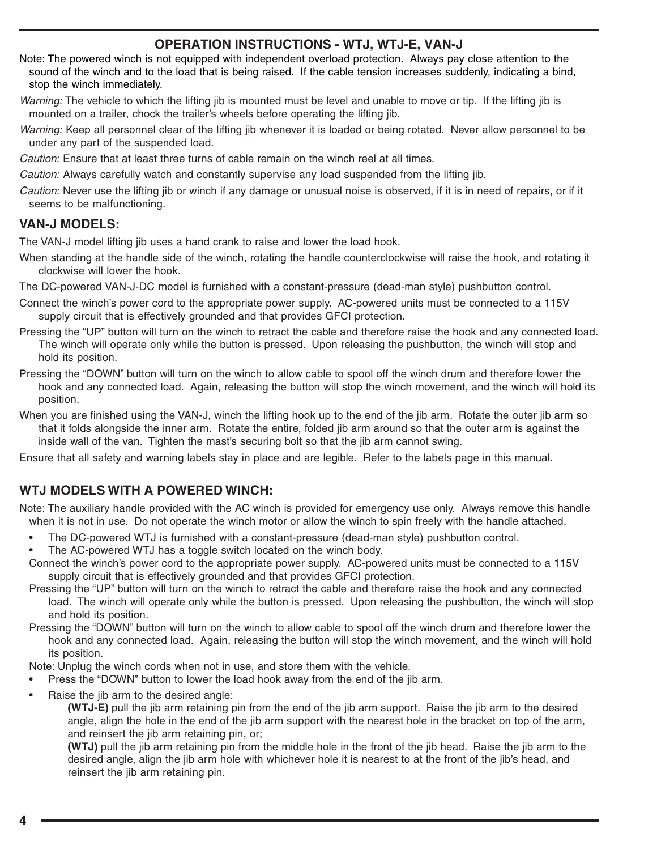### **OPERATION INSTRUCTIONS - WTJ, WTJ-E, VAN-J**

- Note: The powered winch is not equipped with independent overload protection. Always pay close attention to the sound of the winch and to the load that is being raised. If the cable tension increases suddenly, indicating a bind, stop the winch immediately.
- Warning: The vehicle to which the lifting jib is mounted must be level and unable to move or tip. If the lifting jib is mounted on a trailer, chock the trailer's wheels before operating the lifting jib.
- Warning: Keep all personnel clear of the lifting jib whenever it is loaded or being rotated. Never allow personnel to be under any part of the suspended load.
- Caution: Ensure that at least three turns of cable remain on the winch reel at all times.
- Caution: Always carefully watch and constantly supervise any load suspended from the lifting jib.
- Caution: Never use the lifting jib or winch if any damage or unusual noise is observed, if it is in need of repairs, or if it seems to be malfunctioning.

#### **VAN-J MODELS:**

The VAN-J model lifting jib uses a hand crank to raise and lower the load hook.

- When standing at the handle side of the winch, rotating the handle counterclockwise will raise the hook, and rotating it clockwise will lower the hook.
- The DC-powered VAN-J-DC model is furnished with a constant-pressure (dead-man style) pushbutton control.
- Connect the winch's power cord to the appropriate power supply. AC-powered units must be connected to a 115V supply circuit that is effectively grounded and that provides GFCI protection.
- Pressing the "UP" button will turn on the winch to retract the cable and therefore raise the hook and any connected load. The winch will operate only while the button is pressed. Upon releasing the pushbutton, the winch will stop and hold its position.
- Pressing the "DOWN" button will turn on the winch to allow cable to spool off the winch drum and therefore lower the hook and any connected load. Again, releasing the button will stop the winch movement, and the winch will hold its position.
- When you are finished using the VAN-J, winch the lifting hook up to the end of the jib arm. Rotate the outer jib arm so that it folds alongside the inner arm. Rotate the entire, folded jib arm around so that the outer arm is against the inside wall of the van. Tighten the mast's securing bolt so that the jib arm cannot swing.

Ensure that all safety and warning labels stay in place and are legible. Refer to the labels page in this manual.

### **WTJ MODELS WITH A POWERED WINCH:**

Note: The auxiliary handle provided with the AC winch is provided for emergency use only. Always remove this handle when it is not in use. Do not operate the winch motor or allow the winch to spin freely with the handle attached.

- The DC-powered WTJ is furnished with a constant-pressure (dead-man style) pushbutton control.
- The AC-powered WTJ has a toggle switch located on the winch body.
- Connect the winch's power cord to the appropriate power supply. AC-powered units must be connected to a 115V supply circuit that is effectively grounded and that provides GFCI protection.
- Pressing the "UP" button will turn on the winch to retract the cable and therefore raise the hook and any connected load. The winch will operate only while the button is pressed. Upon releasing the pushbutton, the winch will stop and hold its position.
- Pressing the "DOWN" button will turn on the winch to allow cable to spool off the winch drum and therefore lower the hook and any connected load. Again, releasing the button will stop the winch movement, and the winch will hold its position.

Note: Unplug the winch cords when not in use, and store them with the vehicle.

- Press the "DOWN" button to lower the load hook away from the end of the jib arm.
- Raise the jib arm to the desired angle:

**(WTJ-E)** pull the jib arm retaining pin from the end of the jib arm support. Raise the jib arm to the desired angle, align the hole in the end of the jib arm support with the nearest hole in the bracket on top of the arm, and reinsert the jib arm retaining pin, or:

**(WTJ)** pull the jib arm retaining pin from the middle hole in the front of the jib head. Raise the jib arm to the desired angle, align the jib arm hole with whichever hole it is nearest to at the front of the jib's head, and reinsert the jib arm retaining pin.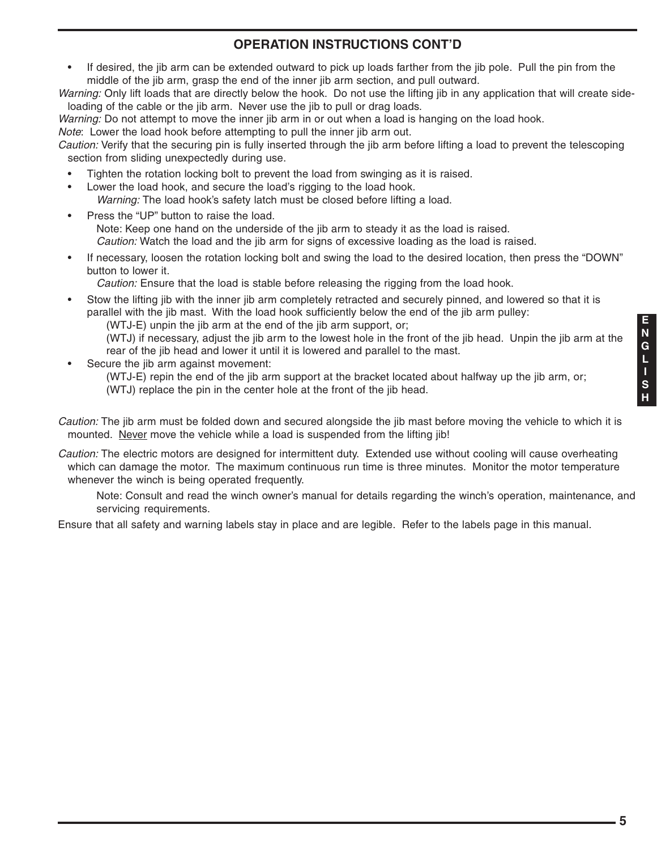# **OPERATION INSTRUCTIONS CONT'D**

• If desired, the jib arm can be extended outward to pick up loads farther from the jib pole. Pull the pin from the middle of the jib arm, grasp the end of the inner jib arm section, and pull outward.

Warning: Only lift loads that are directly below the hook. Do not use the lifting jib in any application that will create sideloading of the cable or the jib arm. Never use the jib to pull or drag loads.

Warning: Do not attempt to move the inner jib arm in or out when a load is hanging on the load hook.

Note: Lower the load hook before attempting to pull the inner jib arm out.

Caution: Verify that the securing pin is fully inserted through the jib arm before lifting a load to prevent the telescoping section from sliding unexpectedly during use.

- Tighten the rotation locking bolt to prevent the load from swinging as it is raised.
- Lower the load hook, and secure the load's rigging to the load hook. Warning: The load hook's safety latch must be closed before lifting a load.
- Press the "UP" button to raise the load. Note: Keep one hand on the underside of the jib arm to steady it as the load is raised. Caution: Watch the load and the jib arm for signs of excessive loading as the load is raised.
- If necessary, loosen the rotation locking bolt and swing the load to the desired location, then press the "DOWN" button to lower it.

Caution: Ensure that the load is stable before releasing the rigging from the load hook.

Stow the lifting jib with the inner jib arm completely retracted and securely pinned, and lowered so that it is parallel with the jib mast. With the load hook sufficiently below the end of the jib arm pulley:

(WTJ-E) unpin the jib arm at the end of the jib arm support, or;

(WTJ) if necessary, adjust the jib arm to the lowest hole in the front of the jib head. Unpin the jib arm at the rear of the jib head and lower it until it is lowered and parallel to the mast.

Secure the jib arm against movement:

(WTJ-E) repin the end of the jib arm support at the bracket located about halfway up the jib arm, or; (WTJ) replace the pin in the center hole at the front of the jib head.

Caution: The jib arm must be folded down and secured alongside the jib mast before moving the vehicle to which it is mounted. Never move the vehicle while a load is suspended from the lifting jib!

Caution: The electric motors are designed for intermittent duty. Extended use without cooling will cause overheating which can damage the motor. The maximum continuous run time is three minutes. Monitor the motor temperature whenever the winch is being operated frequently.

Note: Consult and read the winch owner's manual for details regarding the winch's operation, maintenance, and servicing requirements.

Ensure that all safety and warning labels stay in place and are legible. Refer to the labels page in this manual.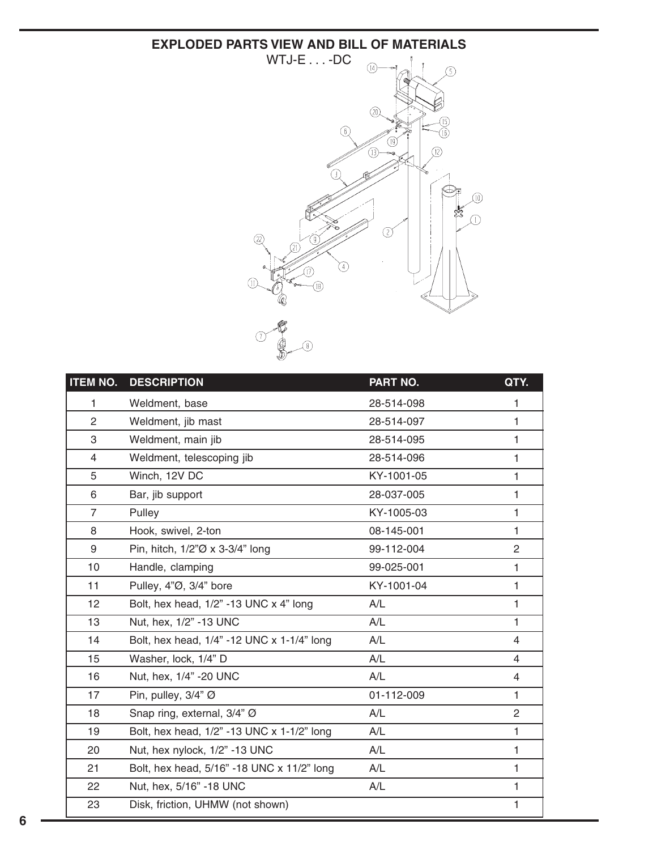#### **EXPLODED PARTS VIEW AND BILL OF MATERIALS**



| <b>ITEM NO.</b> | <b>DESCRIPTION</b>                         | PART NO.   | QTY.           |
|-----------------|--------------------------------------------|------------|----------------|
| 1               | Weldment, base                             | 28-514-098 | 1              |
| $\overline{2}$  | Weldment, jib mast                         | 28-514-097 | 1              |
| 3               | Weldment, main jib                         | 28-514-095 | 1              |
| 4               | Weldment, telescoping jib                  | 28-514-096 | 1              |
| 5               | Winch, 12V DC                              | KY-1001-05 | $\mathbf{1}$   |
| 6               | Bar, jib support                           | 28-037-005 | $\mathbf{1}$   |
| $\overline{7}$  | Pulley                                     | KY-1005-03 | $\mathbf{1}$   |
| 8               | Hook, swivel, 2-ton                        | 08-145-001 | $\mathbf{1}$   |
| 9               | Pin, hitch, 1/2"Ø x 3-3/4" long            | 99-112-004 | $\overline{c}$ |
| 10              | Handle, clamping                           | 99-025-001 | 1              |
| 11              | Pulley, 4"Ø, 3/4" bore                     | KY-1001-04 | 1              |
| 12              | Bolt, hex head, 1/2" -13 UNC x 4" long     | A/L        | 1              |
| 13              | Nut, hex, 1/2" -13 UNC                     | A/L        | 1              |
| 14              | Bolt, hex head, 1/4" -12 UNC x 1-1/4" long | A/L        | 4              |
| 15              | Washer, lock, 1/4" D                       | A/L        | 4              |
| 16              | Nut, hex, 1/4" -20 UNC                     | A/L        | 4              |
| 17              | Pin, pulley, 3/4" Ø                        | 01-112-009 | 1              |
| 18              | Snap ring, external, 3/4" Ø                | A/L        | $\overline{2}$ |
| 19              | Bolt, hex head, 1/2" -13 UNC x 1-1/2" long | A/L        | $\mathbf{1}$   |
| 20              | Nut, hex nylock, 1/2" -13 UNC              | A/L        | 1              |
| 21              | Bolt, hex head, 5/16" -18 UNC x 11/2" long | A/L        | 1              |
| 22              | Nut, hex, 5/16" -18 UNC                    | A/L        | 1              |
| 23              | Disk, friction, UHMW (not shown)           |            | 1              |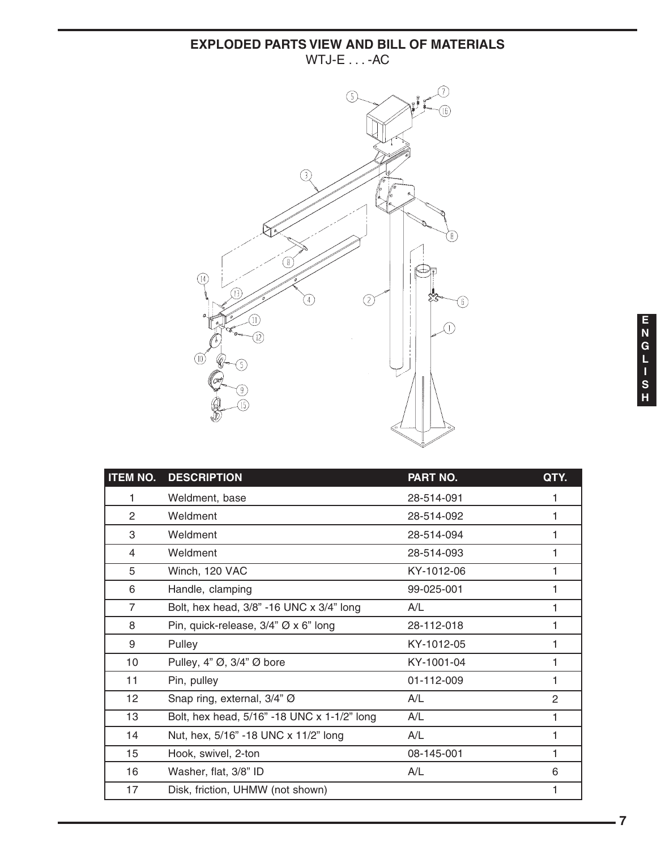### **EXPLODED PARTS VIEW AND BILL OF MATERIALS** WTJ-E . . . -AC



| <b>ITEM NO.</b> | <b>DESCRIPTION</b>                                  | <b>PART NO.</b> | QTY. |
|-----------------|-----------------------------------------------------|-----------------|------|
| 1               | Weldment, base                                      | 28-514-091      |      |
| 2               | Weldment                                            | 28-514-092      |      |
| 3               | Weldment                                            | 28-514-094      | 1    |
| 4               | Weldment                                            | 28-514-093      |      |
| 5               | Winch, 120 VAC                                      | KY-1012-06      |      |
| 6               | Handle, clamping                                    | 99-025-001      |      |
| $\overline{7}$  | Bolt, hex head, 3/8" -16 UNC x 3/4" long            | A/L             |      |
| 8               | Pin, quick-release, $3/4$ " $\varnothing$ x 6" long | 28-112-018      |      |
| 9               | Pulley                                              | KY-1012-05      |      |
| 10              | Pulley, 4" $\varnothing$ , 3/4" $\varnothing$ bore  | KY-1001-04      |      |
| 11              | Pin, pulley                                         | 01-112-009      |      |
| 12              | Snap ring, external, 3/4" Ø                         | A/L             | 2    |
| 13              | Bolt, hex head, 5/16" -18 UNC x 1-1/2" long         | A/L             |      |
| 14              | Nut, hex, 5/16" -18 UNC x 11/2" long                | A/L             |      |
| 15              | Hook, swivel, 2-ton                                 | 08-145-001      | 1    |
| 16              | Washer, flat, 3/8" ID                               | A/L             | 6    |
| 17              | Disk, friction, UHMW (not shown)                    |                 |      |
|                 |                                                     |                 |      |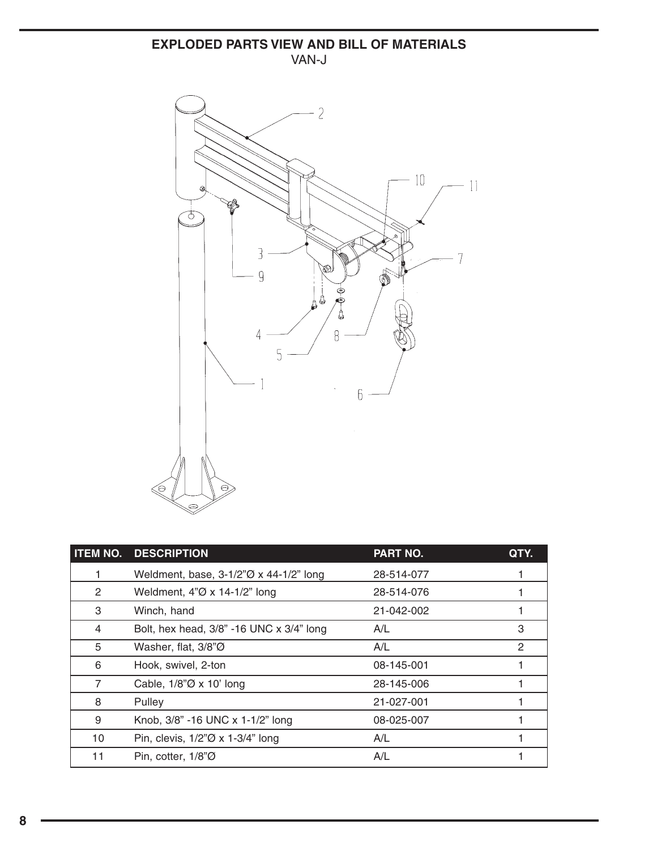### **EXPLODED PARTS VIEW AND BILL OF MATERIALS** VAN-J



|    | <b>ITEM NO. DESCRIPTION</b>                                   | <b>PART NO.</b> | QTY. |
|----|---------------------------------------------------------------|-----------------|------|
|    | Weldment, base, $3-1/2\% \times 44-1/2\%$ long                | 28-514-077      |      |
| 2  | Weldment, $4\degree$ O x 14-1/2" long                         | 28-514-076      |      |
| 3  | Winch, hand                                                   | 21-042-002      |      |
| 4  | Bolt, hex head, 3/8" -16 UNC x 3/4" long                      | A/L             | 3    |
| 5  | Washer, flat, $3/8"$ $\oslash$                                | A/L             | 2    |
| 6  | Hook, swivel, 2-ton                                           | 08-145-001      |      |
| 7  | Cable, $1/8\degree$ O x 10' long                              | 28-145-006      |      |
| 8  | Pulley                                                        | 21-027-001      |      |
| 9  | Knob, 3/8" -16 UNC x 1-1/2" long                              | 08-025-007      |      |
| 10 | Pin, clevis, $1/2\degree\varnothing \times 1-3/4\degree$ long | A/L             |      |
| 11 | Pin, cotter, $1/8"$ Ø                                         | A/L             |      |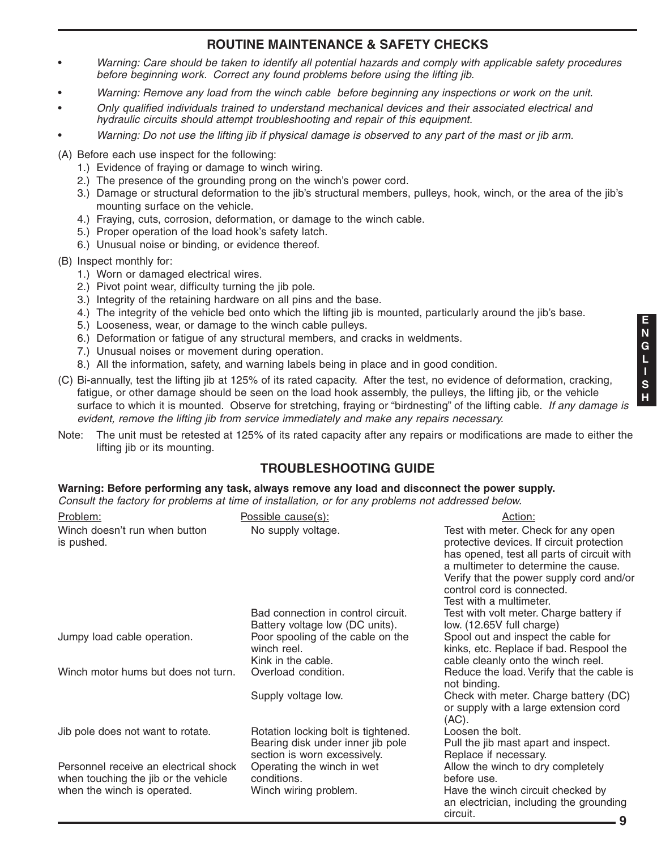# **ROUTINE MAINTENANCE & SAFETY CHECKS**

- Warning: Care should be taken to identify all potential hazards and comply with applicable safety procedures before beginning work. Correct any found problems before using the lifting jib.
- Warning: Remove any load from the winch cable before beginning any inspections or work on the unit.
- Only qualified individuals trained to understand mechanical devices and their associated electrical and hydraulic circuits should attempt troubleshooting and repair of this equipment.
- Warning: Do not use the lifting jib if physical damage is observed to any part of the mast or jib arm.

(A) Before each use inspect for the following:

- 1.) Evidence of fraying or damage to winch wiring.
- 2.) The presence of the grounding prong on the winch's power cord.
- 3.) Damage or structural deformation to the jib's structural members, pulleys, hook, winch, or the area of the jib's mounting surface on the vehicle.
- 4.) Fraying, cuts, corrosion, deformation, or damage to the winch cable.
- 5.) Proper operation of the load hook's safety latch.
- 6.) Unusual noise or binding, or evidence thereof.
- (B) Inspect monthly for:
	- 1.) Worn or damaged electrical wires.
	- 2.) Pivot point wear, difficulty turning the jib pole.
	- 3.) Integrity of the retaining hardware on all pins and the base.
	- 4.) The integrity of the vehicle bed onto which the lifting jib is mounted, particularly around the jib's base.
	- 5.) Looseness, wear, or damage to the winch cable pulleys.
	- 6.) Deformation or fatigue of any structural members, and cracks in weldments.
	- 7.) Unusual noises or movement during operation.
	- 8.) All the information, safety, and warning labels being in place and in good condition.
- (C) Bi-annually, test the lifting jib at 125% of its rated capacity. After the test, no evidence of deformation, cracking, fatigue, or other damage should be seen on the load hook assembly, the pulleys, the lifting jib, or the vehicle surface to which it is mounted. Observe for stretching, fraying or "birdnesting" of the lifting cable. If any damage is evident, remove the lifting jib from service immediately and make any repairs necessary.
- Note: The unit must be retested at 125% of its rated capacity after any repairs or modifications are made to either the lifting jib or its mounting.

#### **TROUBLESHOOTING GUIDE**

#### **Warning: Before performing any task, always remove any load and disconnect the power supply.**

Consult the factory for problems at time of installation, or for any problems not addressed below.

| Problem:                                                                                                     | Possible cause(s):                                                                                       | Action:                                                                                                                                                                                                                                                                     |
|--------------------------------------------------------------------------------------------------------------|----------------------------------------------------------------------------------------------------------|-----------------------------------------------------------------------------------------------------------------------------------------------------------------------------------------------------------------------------------------------------------------------------|
| Winch doesn't run when button<br>is pushed.                                                                  | No supply voltage.                                                                                       | Test with meter. Check for any open<br>protective devices. If circuit protection<br>has opened, test all parts of circuit with<br>a multimeter to determine the cause.<br>Verify that the power supply cord and/or<br>control cord is connected.<br>Test with a multimeter. |
|                                                                                                              | Bad connection in control circuit.<br>Battery voltage low (DC units).                                    | Test with volt meter. Charge battery if<br>low. (12.65V full charge)                                                                                                                                                                                                        |
| Jumpy load cable operation.                                                                                  | Poor spooling of the cable on the<br>winch reel.<br>Kink in the cable.                                   | Spool out and inspect the cable for<br>kinks, etc. Replace if bad. Respool the<br>cable cleanly onto the winch reel.                                                                                                                                                        |
| Winch motor hums but does not turn.                                                                          | Overload condition.                                                                                      | Reduce the load. Verify that the cable is<br>not binding.                                                                                                                                                                                                                   |
|                                                                                                              | Supply voltage low.                                                                                      | Check with meter. Charge battery (DC)<br>or supply with a large extension cord<br>(AC).                                                                                                                                                                                     |
| Jib pole does not want to rotate.                                                                            | Rotation locking bolt is tightened.<br>Bearing disk under inner jib pole<br>section is worn excessively. | Loosen the bolt.<br>Pull the jib mast apart and inspect.<br>Replace if necessary.                                                                                                                                                                                           |
| Personnel receive an electrical shock<br>when touching the jib or the vehicle<br>when the winch is operated. | Operating the winch in wet<br>conditions.<br>Winch wiring problem.                                       | Allow the winch to dry completely<br>before use.<br>Have the winch circuit checked by<br>an electrician, including the grounding<br>circuit.                                                                                                                                |